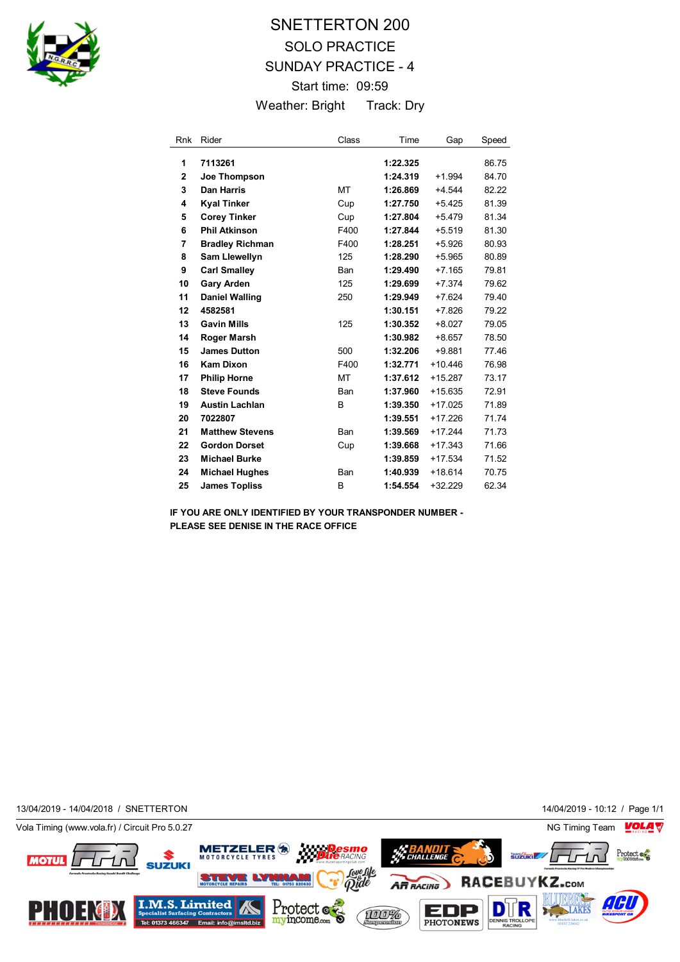

## SNETTERTON 200 SOLO PRACTICE SUNDAY PRACTICE - 4 Start time: 09:59 Weather: Bright Track: Dry

| <b>Rnk</b>     | Rider                  | Class      | Time     | Gap       | Speed |
|----------------|------------------------|------------|----------|-----------|-------|
| 1              | 7113261                |            | 1:22.325 |           | 86.75 |
| $\overline{2}$ | Joe Thompson           |            | 1:24.319 | $+1.994$  | 84.70 |
| 3              | <b>Dan Harris</b>      | MT         | 1:26.869 | +4.544    | 82.22 |
| 4              |                        |            | 1:27.750 | $+5.425$  | 81.39 |
|                | <b>Kyal Tinker</b>     | Cup        |          |           |       |
| 5              | <b>Corey Tinker</b>    | Cup        | 1:27.804 | $+5.479$  | 81.34 |
| 6              | <b>Phil Atkinson</b>   | F400       | 1:27.844 | $+5.519$  | 81.30 |
| 7              | <b>Bradley Richman</b> | F400       | 1:28.251 | $+5.926$  | 80.93 |
| 8              | <b>Sam Llewellyn</b>   | 125        | 1:28.290 | $+5.965$  | 80.89 |
| 9              | <b>Carl Smalley</b>    | <b>Ban</b> | 1:29.490 | $+7.165$  | 79.81 |
| 10             | <b>Gary Arden</b>      | 125        | 1:29.699 | +7.374    | 79.62 |
| 11             | <b>Daniel Walling</b>  | 250        | 1:29.949 | $+7.624$  | 79.40 |
| 12             | 4582581                |            | 1:30.151 | $+7.826$  | 79.22 |
| 13             | <b>Gavin Mills</b>     | 125        | 1:30.352 | $+8.027$  | 79.05 |
| 14             | <b>Roger Marsh</b>     |            | 1:30.982 | $+8.657$  | 78.50 |
| 15             | <b>James Dutton</b>    | 500        | 1:32.206 | $+9.881$  | 77.46 |
| 16             | <b>Kam Dixon</b>       | F400       | 1:32.771 | $+10.446$ | 76.98 |
| 17             | <b>Philip Horne</b>    | МT         | 1:37.612 | $+15.287$ | 73.17 |
| 18             | <b>Steve Founds</b>    | Ban        | 1:37.960 | $+15.635$ | 72.91 |
| 19             | <b>Austin Lachlan</b>  | B          | 1:39.350 | $+17.025$ | 71.89 |
| 20             | 7022807                |            | 1:39.551 | $+17.226$ | 71.74 |
| 21             | <b>Matthew Stevens</b> | <b>Ban</b> | 1:39.569 | $+17.244$ | 71.73 |
| 22             | <b>Gordon Dorset</b>   | Cup        | 1:39.668 | $+17.343$ | 71.66 |
| 23             | <b>Michael Burke</b>   |            | 1:39.859 | $+17.534$ | 71.52 |
| 24             | <b>Michael Hughes</b>  | Ban        | 1:40.939 | $+18.614$ | 70.75 |
| 25             | <b>James Topliss</b>   | B          | 1:54.554 | $+32.229$ | 62.34 |

**IF YOU ARE ONLY IDENTIFIED BY YOUR TRANSPONDER NUMBER - PLEASE SEE DENISE IN THE RACE OFFICE**